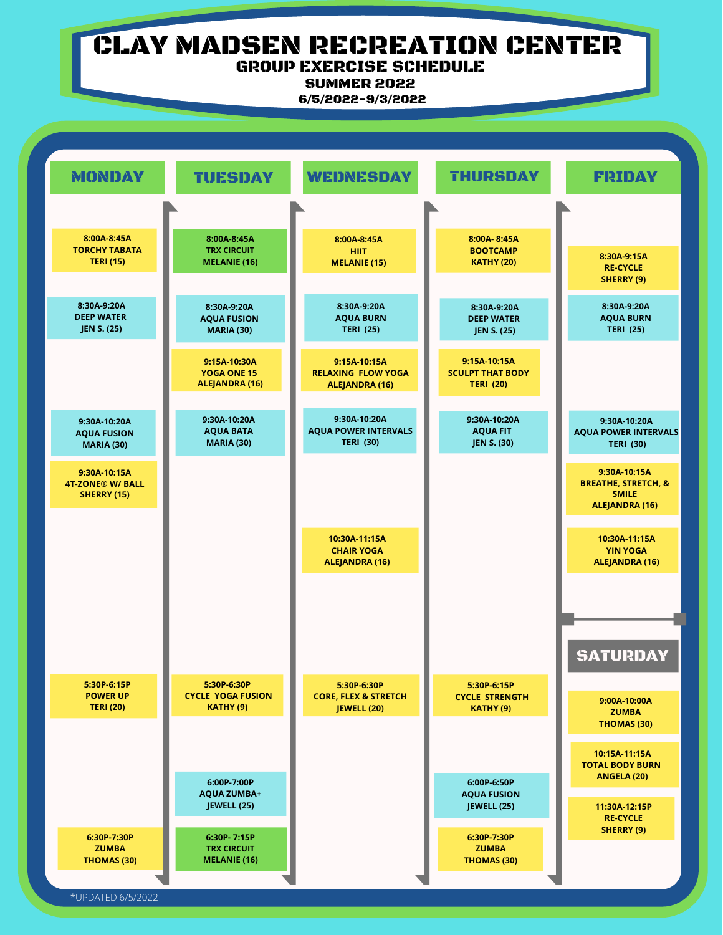# CLAY MADSEN RECREATION CENTER GROUP EXERCISE SCHEDULE

SUMMER 2022

6/5/2022-9/3/2022